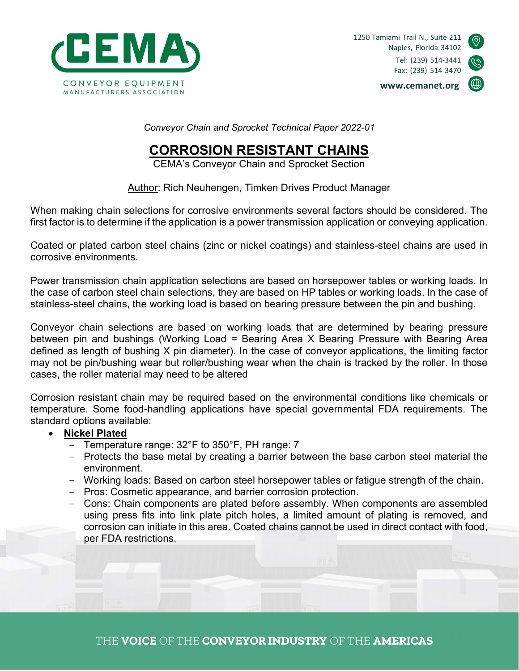

1250 Tamiami Trail N., Suite 211 Naples, Florida 34102 Tel: (239) 514-3441 Fax: (239) 514-3470



www.cemanet.org

Conveyor Chain and Sprocket Technical Paper 2022-01

# CORROSION RESISTANT CHAINS

CEMA's Conveyor Chain and Sprocket Section

Author: Rich Neuhengen, Timken Drives Product Manager

When making chain selections for corrosive environments several factors should be considered. The first factor is to determine if the application is a power transmission application or conveying application.

Coated or plated carbon steel chains (zinc or nickel coatings) and stainless-steel chains are used in corrosive environments.

Power transmission chain application selections are based on horsepower tables or working loads. In the case of carbon steel chain selections, they are based on HP tables or working loads. In the case of stainless-steel chains, the working load is based on bearing pressure between the pin and bushing.

Conveyor chain selections are based on working loads that are determined by bearing pressure between pin and bushings (Working Load = Bearing Area X Bearing Pressure with Bearing Area defined as length of bushing X pin diameter). In the case of conveyor applications, the limiting factor may not be pin/bushing wear but roller/bushing wear when the chain is tracked by the roller. In those cases, the roller material may need to be altered

Corrosion resistant chain may be required based on the environmental conditions like chemicals or temperature. Some food-handling applications have special governmental FDA requirements. The standard options available:

### • Nickel Plated

- Temperature range: 32°F to 350°F, PH range: 7
- Protects the base metal by creating a barrier between the base carbon steel material the environment.
- Working loads: Based on carbon steel horsepower tables or fatigue strength of the chain.
- Pros: Cosmetic appearance, and barrier corrosion protection.
- Cons: Chain components are plated before assembly. When components are assembled using press fits into link plate pitch holes, a limited amount of plating is removed, and corrosion can initiate in this area. Coated chains cannot be used in direct contact with food, per FDA restrictions.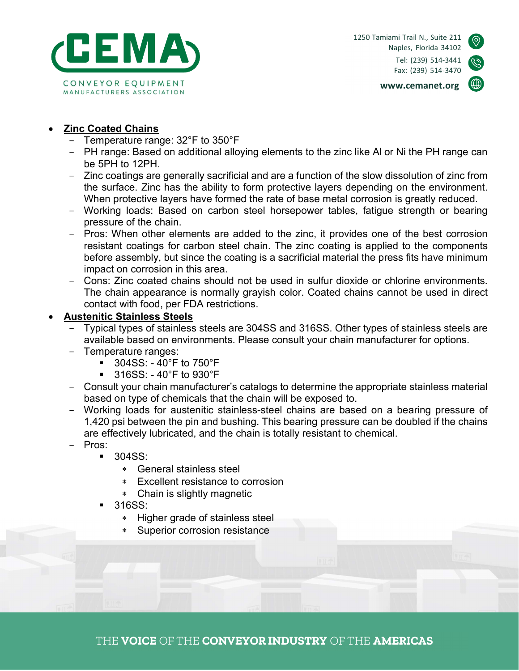

www.cemanet.org



### Zinc Coated Chains

- Temperature range: 32°F to 350°F
- PH range: Based on additional alloying elements to the zinc like Al or Ni the PH range can be 5PH to 12PH.
- Zinc coatings are generally sacrificial and are a function of the slow dissolution of zinc from the surface. Zinc has the ability to form protective layers depending on the environment. When protective layers have formed the rate of base metal corrosion is greatly reduced.
- Working loads: Based on carbon steel horsepower tables, fatigue strength or bearing pressure of the chain.
- Pros: When other elements are added to the zinc, it provides one of the best corrosion resistant coatings for carbon steel chain. The zinc coating is applied to the components before assembly, but since the coating is a sacrificial material the press fits have minimum impact on corrosion in this area.
- Cons: Zinc coated chains should not be used in sulfur dioxide or chlorine environments. The chain appearance is normally grayish color. Coated chains cannot be used in direct contact with food, per FDA restrictions.

#### Austenitic Stainless Steels

- Typical types of stainless steels are 304SS and 316SS. Other types of stainless steels are available based on environments. Please consult your chain manufacturer for options.
- Temperature ranges:
	- 304SS: 40°F to 750°F
	- 316SS: 40°F to 930°F
- Consult your chain manufacturer's catalogs to determine the appropriate stainless material based on type of chemicals that the chain will be exposed to.
- Working loads for austenitic stainless-steel chains are based on a bearing pressure of 1,420 psi between the pin and bushing. This bearing pressure can be doubled if the chains are effectively lubricated, and the chain is totally resistant to chemical.
- Pros:
	- 304SS:
		- General stainless steel
		- Excellent resistance to corrosion
		- Chain is slightly magnetic
	- 316SS:
		- Higher grade of stainless steel
		- Superior corrosion resistance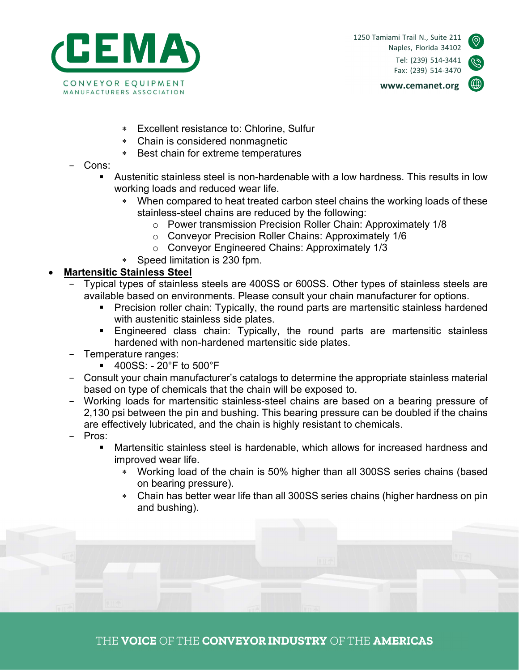



www.cemanet.org

- Excellent resistance to: Chlorine, Sulfur
- Chain is considered nonmagnetic
- Best chain for extreme temperatures
- Cons:
	- Austenitic stainless steel is non-hardenable with a low hardness. This results in low working loads and reduced wear life.
		- When compared to heat treated carbon steel chains the working loads of these stainless-steel chains are reduced by the following:
			- o Power transmission Precision Roller Chain: Approximately 1/8
			- o Conveyor Precision Roller Chains: Approximately 1/6
			- o Conveyor Engineered Chains: Approximately 1/3
		- Speed limitation is 230 fpm.

## Martensitic Stainless Steel

- Typical types of stainless steels are 400SS or 600SS. Other types of stainless steels are available based on environments. Please consult your chain manufacturer for options.
	- **Precision roller chain: Typically, the round parts are martensitic stainless hardened** with austenitic stainless side plates.
	- Engineered class chain: Typically, the round parts are martensitic stainless hardened with non-hardened martensitic side plates.
- Temperature ranges:
	- 400SS: 20°F to 500°F
- Consult your chain manufacturer's catalogs to determine the appropriate stainless material based on type of chemicals that the chain will be exposed to.
- Working loads for martensitic stainless-steel chains are based on a bearing pressure of 2,130 psi between the pin and bushing. This bearing pressure can be doubled if the chains are effectively lubricated, and the chain is highly resistant to chemicals.
- Pros:
	- Martensitic stainless steel is hardenable, which allows for increased hardness and improved wear life.
		- Working load of the chain is 50% higher than all 300SS series chains (based on bearing pressure).
		- Chain has better wear life than all 300SS series chains (higher hardness on pin and bushing).